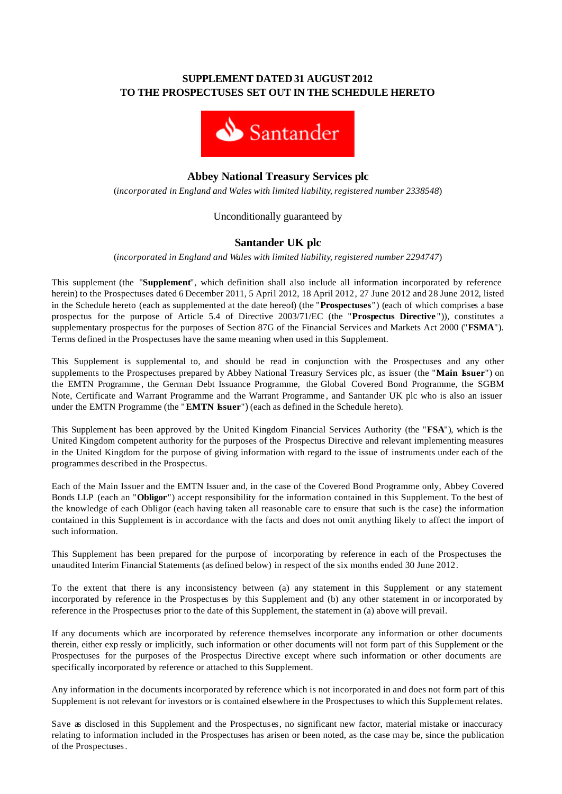# **SUPPLEMENT DATED 31 AUGUST 2012 TO THE PROSPECTUSES SET OUT IN THE SCHEDULE HERETO**



# **Abbey National Treasury Services plc**

(*incorporated in England and Wales with limited liability, registered number 2338548*)

## Unconditionally guaranteed by

# **Santander UK plc**

(*incorporated in England and Wales with limited liability, registered number 2294747*)

This supplement (the "**Supplement**", which definition shall also include all information incorporated by reference herein) to the Prospectuses dated 6 December 2011, 5 April 2012, 18 April 2012, 27 June 2012 and 28 June 2012, listed in the Schedule hereto (each as supplemented at the date hereof) (the "**Prospectuses**") (each of which comprises a base prospectus for the purpose of Article 5.4 of Directive 2003/71/EC (the "**Prospectus Directive** ")), constitutes a supplementary prospectus for the purposes of Section 87G of the Financial Services and Markets Act 2000 ("**FSMA**"). Terms defined in the Prospectuses have the same meaning when used in this Supplement.

This Supplement is supplemental to, and should be read in conjunction with the Prospectuses and any other supplements to the Prospectuses prepared by Abbey National Treasury Services plc, as issuer (the "**Main Issuer**") on the EMTN Programme , the German Debt Issuance Programme, the Global Covered Bond Programme, the SGBM Note, Certificate and Warrant Programme and the Warrant Programme , and Santander UK plc who is also an issuer under the EMTN Programme (the "**EMTN Issuer**") (each as defined in the Schedule hereto).

This Supplement has been approved by the United Kingdom Financial Services Authority (the "**FSA**"), which is the United Kingdom competent authority for the purposes of the Prospectus Directive and relevant implementing measures in the United Kingdom for the purpose of giving information with regard to the issue of instruments under each of the programmes described in the Prospectus.

Each of the Main Issuer and the EMTN Issuer and, in the case of the Covered Bond Programme only, Abbey Covered Bonds LLP (each an "**Obligor**") accept responsibility for the information contained in this Supplement. To the best of the knowledge of each Obligor (each having taken all reasonable care to ensure that such is the case) the information contained in this Supplement is in accordance with the facts and does not omit anything likely to affect the import of such information.

This Supplement has been prepared for the purpose of incorporating by reference in each of the Prospectuses the unaudited Interim Financial Statements (as defined below) in respect of the six months ended 30 June 2012.

To the extent that there is any inconsistency between (a) any statement in this Supplement or any statement incorporated by reference in the Prospectuses by this Supplement and (b) any other statement in or incorporated by reference in the Prospectuses prior to the date of this Supplement, the statement in (a) above will prevail.

If any documents which are incorporated by reference themselves incorporate any information or other documents therein, either exp ressly or implicitly, such information or other documents will not form part of this Supplement or the Prospectuses for the purposes of the Prospectus Directive except where such information or other documents are specifically incorporated by reference or attached to this Supplement.

Any information in the documents incorporated by reference which is not incorporated in and does not form part of this Supplement is not relevant for investors or is contained elsewhere in the Prospectuses to which this Supplement relates.

Save as disclosed in this Supplement and the Prospectuses, no significant new factor, material mistake or inaccuracy relating to information included in the Prospectuses has arisen or been noted, as the case may be, since the publication of the Prospectuses.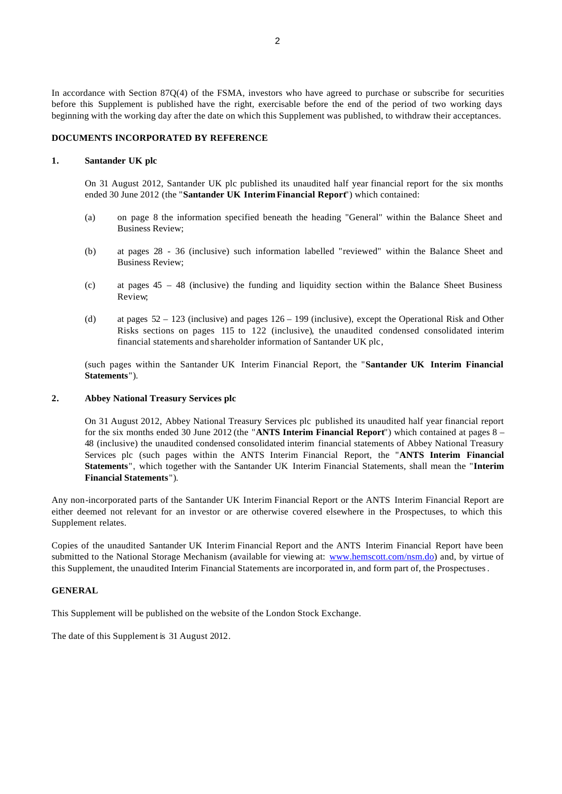In accordance with Section 87Q(4) of the FSMA, investors who have agreed to purchase or subscribe for securities before this Supplement is published have the right, exercisable before the end of the period of two working days beginning with the working day after the date on which this Supplement was published, to withdraw their acceptances.

#### **DOCUMENTS INCORPORATED BY REFERENCE**

#### **1. Santander UK plc**

On 31 August 2012, Santander UK plc published its unaudited half year financial report for the six months ended 30 June 2012 (the "**Santander UK Interim Financial Report**") which contained:

- (a) on page 8 the information specified beneath the heading "General" within the Balance Sheet and Business Review;
- (b) at pages 28 36 (inclusive) such information labelled "reviewed" within the Balance Sheet and Business Review;
- (c) at pages  $45 48$  (inclusive) the funding and liquidity section within the Balance Sheet Business Review;
- (d) at pages 52 123 (inclusive) and pages 126 199 (inclusive), except the Operational Risk and Other Risks sections on pages 115 to 122 (inclusive), the unaudited condensed consolidated interim financial statements and shareholder information of Santander UK plc,

(such pages within the Santander UK Interim Financial Report, the "**Santander UK Interim Financial Statements**").

## **2. Abbey National Treasury Services plc**

On 31 August 2012, Abbey National Treasury Services plc published its unaudited half year financial report for the six months ended 30 June 2012 (the "**ANTS Interim Financial Report**") which contained at pages 8 – 48 (inclusive) the unaudited condensed consolidated interim financial statements of Abbey National Treasury Services plc (such pages within the ANTS Interim Financial Report, the "**ANTS Interim Financial Statements**", which together with the Santander UK Interim Financial Statements, shall mean the "**Interim Financial Statements**").

Any non-incorporated parts of the Santander UK Interim Financial Report or the ANTS Interim Financial Report are either deemed not relevant for an investor or are otherwise covered elsewhere in the Prospectuses, to which this Supplement relates.

Copies of the unaudited Santander UK Interim Financial Report and the ANTS Interim Financial Report have been submitted to the National Storage Mechanism (available for viewing at: www.hemscott.com/nsm.do) and, by virtue of this Supplement, the unaudited Interim Financial Statements are incorporated in, and form part of, the Prospectuses.

#### **GENERAL**

This Supplement will be published on the website of the London Stock Exchange.

The date of this Supplement is 31 August 2012.